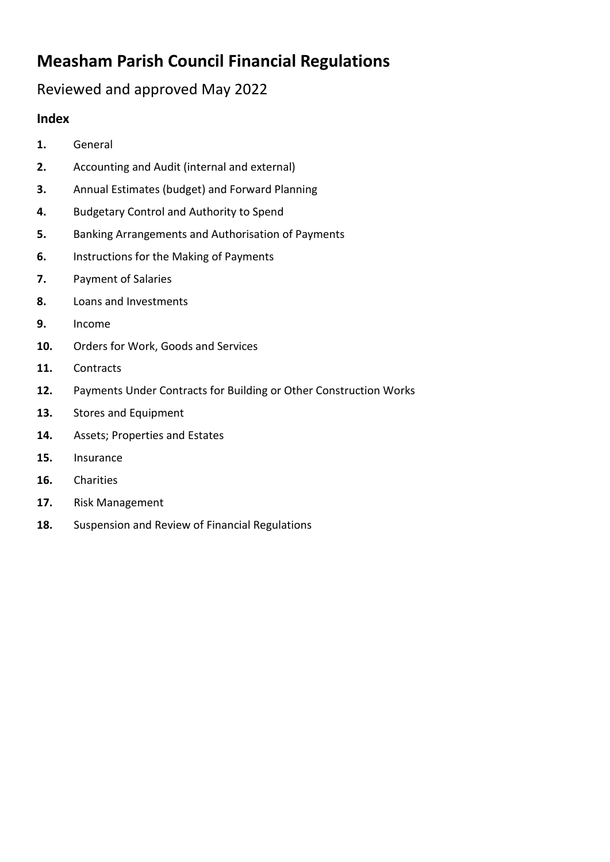# **Measham Parish Council Financial Regulations**

# Reviewed and approved May 2022

#### **Index**

- **1.** General
- **2.** Accounting and Audit (internal and external)
- **3.** Annual Estimates (budget) and Forward Planning
- **4.** Budgetary Control and Authority to Spend
- **5.** Banking Arrangements and Authorisation of Payments
- **6.** Instructions for the Making of Payments
- **7.** Payment of Salaries
- **8.** Loans and Investments
- **9.** Income
- **10.** Orders for Work, Goods and Services
- **11.** Contracts
- **12.** Payments Under Contracts for Building or Other Construction Works
- **13.** Stores and Equipment
- **14.** Assets; Properties and Estates
- **15.** Insurance
- **16.** Charities
- **17.** Risk Management
- **18.** Suspension and Review of Financial Regulations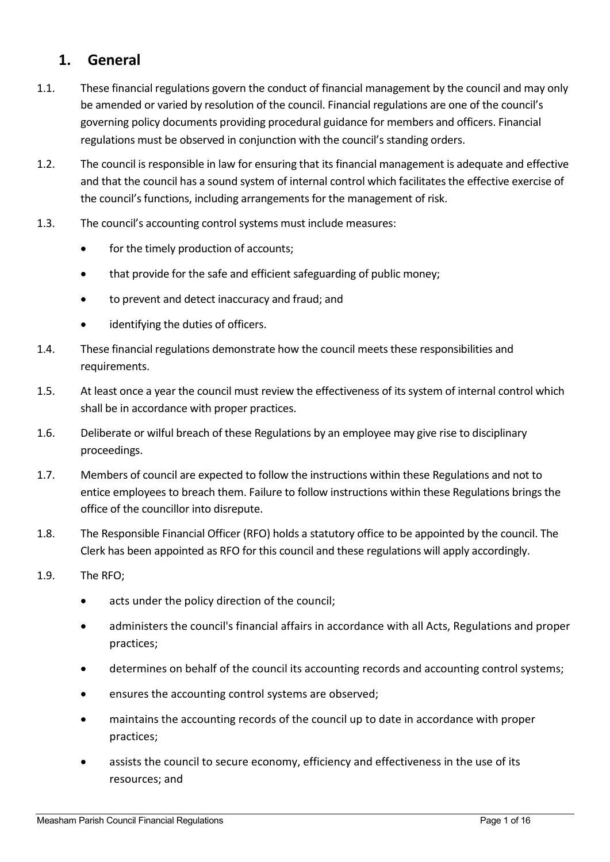### **1. General**

- 1.1. These financial regulations govern the conduct of financial management by the council and may only be amended or varied by resolution of the council. Financial regulations are one of the council's governing policy documents providing procedural guidance for members and officers. Financial regulations must be observed in conjunction with the council's standing orders.
- 1.2. The council is responsible in law for ensuring that its financial management is adequate and effective and that the council has a sound system of internal control which facilitates the effective exercise of the council's functions, including arrangements for the management of risk.
- 1.3. The council's accounting control systems must include measures:
	- for the timely production of accounts;
	- that provide for the safe and efficient safeguarding of public money;
	- to prevent and detect inaccuracy and fraud; and
	- identifying the duties of officers.
- 1.4. These financial regulations demonstrate how the council meets these responsibilities and requirements.
- 1.5. At least once a year the council must review the effectiveness of its system of internal control which shall be in accordance with proper practices.
- 1.6. Deliberate or wilful breach of these Regulations by an employee may give rise to disciplinary proceedings.
- 1.7. Members of council are expected to follow the instructions within these Regulations and not to entice employees to breach them. Failure to follow instructions within these Regulations brings the office of the councillor into disrepute.
- 1.8. The Responsible Financial Officer (RFO) holds a statutory office to be appointed by the council. The Clerk has been appointed as RFO for this council and these regulations will apply accordingly.
- 1.9. The RFO;
	- acts under the policy direction of the council;
	- administers the council's financial affairs in accordance with all Acts, Regulations and proper practices;
	- determines on behalf of the council its accounting records and accounting control systems;
	- ensures the accounting control systems are observed;
	- maintains the accounting records of the council up to date in accordance with proper practices;
	- assists the council to secure economy, efficiency and effectiveness in the use of its resources; and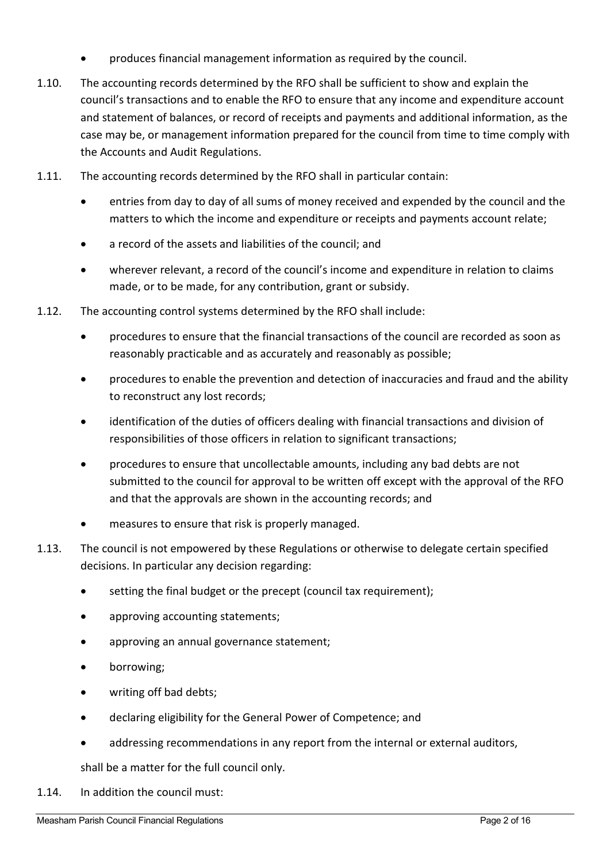- produces financial management information as required by the council.
- 1.10. The accounting records determined by the RFO shall be sufficient to show and explain the council's transactions and to enable the RFO to ensure that any income and expenditure account and statement of balances, or record of receipts and payments and additional information, as the case may be, or management information prepared for the council from time to time comply with the Accounts and Audit Regulations.
- 1.11. The accounting records determined by the RFO shall in particular contain:
	- entries from day to day of all sums of money received and expended by the council and the matters to which the income and expenditure or receipts and payments account relate;
	- a record of the assets and liabilities of the council; and
	- wherever relevant, a record of the council's income and expenditure in relation to claims made, or to be made, for any contribution, grant or subsidy.
- 1.12. The accounting control systems determined by the RFO shall include:
	- procedures to ensure that the financial transactions of the council are recorded as soon as reasonably practicable and as accurately and reasonably as possible;
	- procedures to enable the prevention and detection of inaccuracies and fraud and the ability to reconstruct any lost records;
	- identification of the duties of officers dealing with financial transactions and division of responsibilities of those officers in relation to significant transactions;
	- procedures to ensure that uncollectable amounts, including any bad debts are not submitted to the council for approval to be written off except with the approval of the RFO and that the approvals are shown in the accounting records; and
	- measures to ensure that risk is properly managed.
- 1.13. The council is not empowered by these Regulations or otherwise to delegate certain specified decisions. In particular any decision regarding:
	- setting the final budget or the precept (council tax requirement);
	- approving accounting statements;
	- approving an annual governance statement;
	- borrowing;
	- writing off bad debts;
	- declaring eligibility for the General Power of Competence; and
	- addressing recommendations in any report from the internal or external auditors,

shall be a matter for the full council only.

1.14. In addition the council must: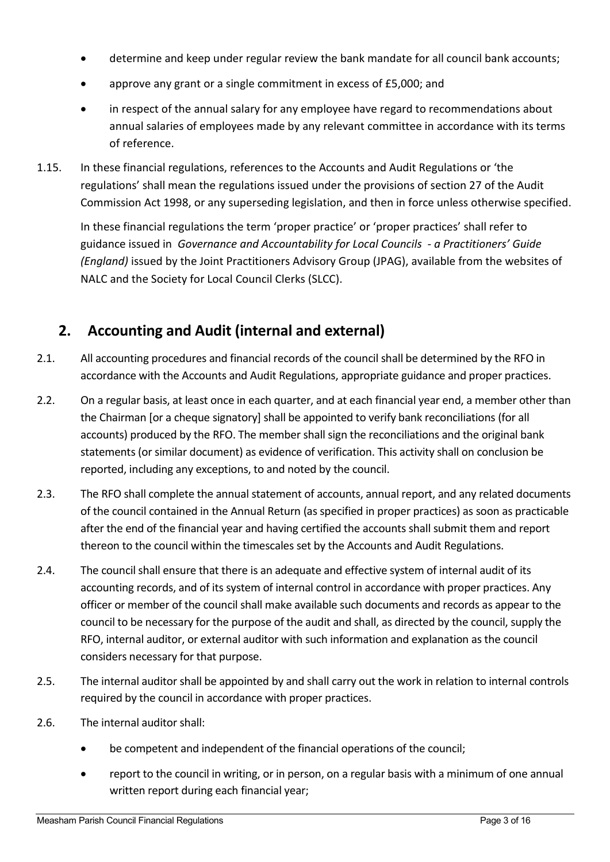- determine and keep under regular review the bank mandate for all council bank accounts;
- approve any grant or a single commitment in excess of £5,000; and
- in respect of the annual salary for any employee have regard to recommendations about annual salaries of employees made by any relevant committee in accordance with its terms of reference.
- 1.15. In these financial regulations, references to the Accounts and Audit Regulations or 'the regulations' shall mean the regulations issued under the provisions of section 27 of the Audit Commission Act 1998, or any superseding legislation, and then in force unless otherwise specified.

In these financial regulations the term 'proper practice' or 'proper practices' shall refer to guidance issued in *Governance and Accountability for Local Councils - a Practitioners' Guide (England)* issued by the Joint Practitioners Advisory Group (JPAG), available from the websites of NALC and the Society for Local Council Clerks (SLCC).

# **2. Accounting and Audit (internal and external)**

- 2.1. All accounting procedures and financial records of the council shall be determined by the RFO in accordance with the Accounts and Audit Regulations, appropriate guidance and proper practices.
- 2.2. On a regular basis, at least once in each quarter, and at each financial year end, a member other than the Chairman [or a cheque signatory] shall be appointed to verify bank reconciliations (for all accounts) produced by the RFO. The member shall sign the reconciliations and the original bank statements (or similar document) as evidence of verification. This activity shall on conclusion be reported, including any exceptions, to and noted by the council.
- 2.3. The RFO shall complete the annual statement of accounts, annual report, and any related documents of the council contained in the Annual Return (as specified in proper practices) as soon as practicable after the end of the financial year and having certified the accounts shall submit them and report thereon to the council within the timescales set by the Accounts and Audit Regulations.
- 2.4. The council shall ensure that there is an adequate and effective system of internal audit of its accounting records, and of its system of internal control in accordance with proper practices. Any officer or member of the council shall make available such documents and records as appear to the council to be necessary for the purpose of the audit and shall, as directed by the council, supply the RFO, internal auditor, or external auditor with such information and explanation as the council considers necessary for that purpose.
- 2.5. The internal auditor shall be appointed by and shall carry out the work in relation to internal controls required by the council in accordance with proper practices.
- 2.6. The internal auditor shall:
	- be competent and independent of the financial operations of the council;
	- report to the council in writing, or in person, on a regular basis with a minimum of one annual written report during each financial year;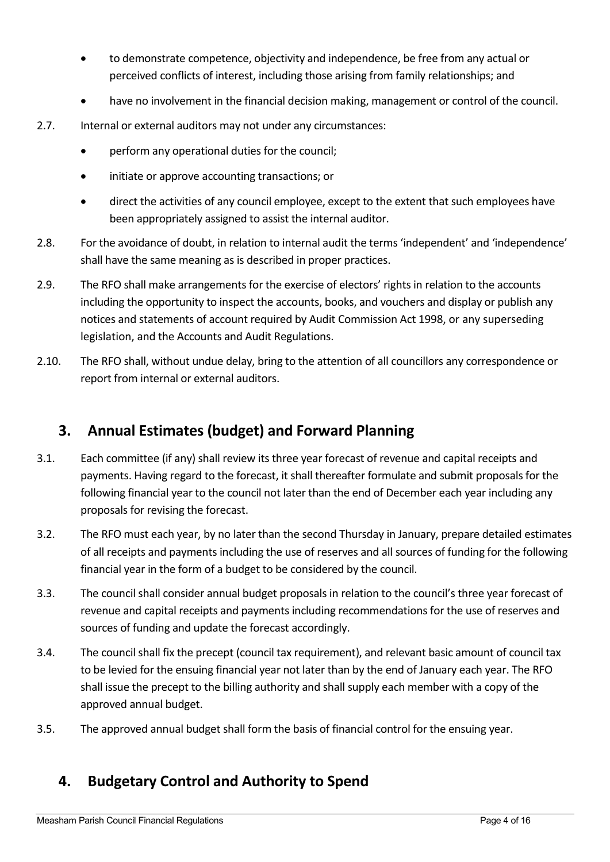- to demonstrate competence, objectivity and independence, be free from any actual or perceived conflicts of interest, including those arising from family relationships; and
- have no involvement in the financial decision making, management or control of the council.
- 2.7. Internal or external auditors may not under any circumstances:
	- perform any operational duties for the council;
	- initiate or approve accounting transactions; or
	- direct the activities of any council employee, except to the extent that such employees have been appropriately assigned to assist the internal auditor.
- 2.8. For the avoidance of doubt, in relation to internal audit the terms 'independent' and 'independence' shall have the same meaning as is described in proper practices.
- 2.9. The RFO shall make arrangements for the exercise of electors' rights in relation to the accounts including the opportunity to inspect the accounts, books, and vouchers and display or publish any notices and statements of account required by Audit Commission Act 1998, or any superseding legislation, and the Accounts and Audit Regulations.
- 2.10. The RFO shall, without undue delay, bring to the attention of all councillors any correspondence or report from internal or external auditors.

## **3. Annual Estimates (budget) and Forward Planning**

- 3.1. Each committee (if any) shall review its three year forecast of revenue and capital receipts and payments. Having regard to the forecast, it shall thereafter formulate and submit proposals for the following financial year to the council not later than the end of December each year including any proposals for revising the forecast.
- 3.2. The RFO must each year, by no later than the second Thursday in January, prepare detailed estimates of all receipts and payments including the use of reserves and all sources of funding for the following financial year in the form of a budget to be considered by the council.
- 3.3. The council shall consider annual budget proposals in relation to the council's three year forecast of revenue and capital receipts and payments including recommendations for the use of reserves and sources of funding and update the forecast accordingly.
- 3.4. The council shall fix the precept (council tax requirement), and relevant basic amount of council tax to be levied for the ensuing financial year not later than by the end of January each year. The RFO shall issue the precept to the billing authority and shall supply each member with a copy of the approved annual budget.
- 3.5. The approved annual budget shall form the basis of financial control for the ensuing year.

# **4. Budgetary Control and Authority to Spend**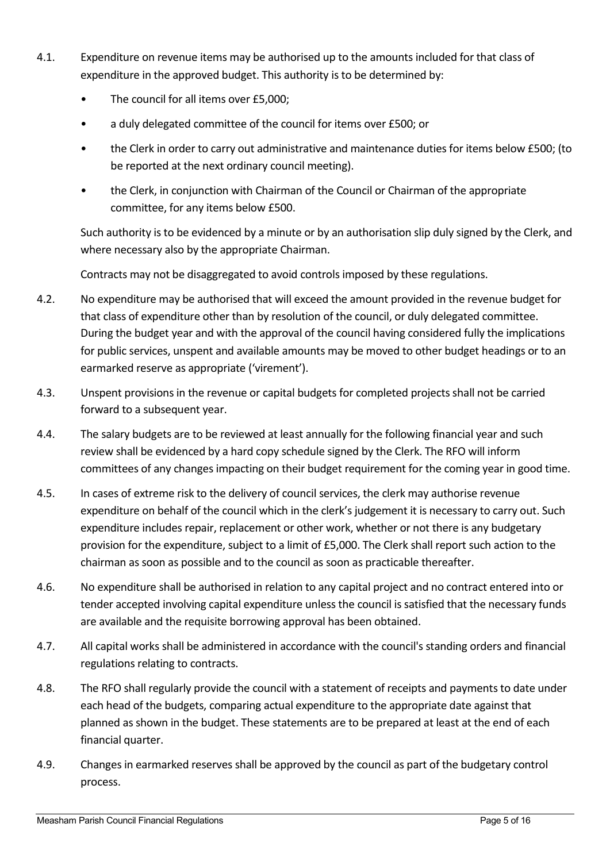- 4.1. Expenditure on revenue items may be authorised up to the amounts included for that class of expenditure in the approved budget. This authority is to be determined by:
	- The council for all items over £5,000;
	- a duly delegated committee of the council for items over £500; or
	- the Clerk in order to carry out administrative and maintenance duties for items below £500; (to be reported at the next ordinary council meeting).
	- the Clerk, in conjunction with Chairman of the Council or Chairman of the appropriate committee, for any items below £500.

Such authority is to be evidenced by a minute or by an authorisation slip duly signed by the Clerk, and where necessary also by the appropriate Chairman.

Contracts may not be disaggregated to avoid controls imposed by these regulations.

- 4.2. No expenditure may be authorised that will exceed the amount provided in the revenue budget for that class of expenditure other than by resolution of the council, or duly delegated committee. During the budget year and with the approval of the council having considered fully the implications for public services, unspent and available amounts may be moved to other budget headings or to an earmarked reserve as appropriate ('virement').
- 4.3. Unspent provisions in the revenue or capital budgets for completed projects shall not be carried forward to a subsequent year.
- 4.4. The salary budgets are to be reviewed at least annually for the following financial year and such review shall be evidenced by a hard copy schedule signed by the Clerk. The RFO will inform committees of any changes impacting on their budget requirement for the coming year in good time.
- 4.5. In cases of extreme risk to the delivery of council services, the clerk may authorise revenue expenditure on behalf of the council which in the clerk's judgement it is necessary to carry out. Such expenditure includes repair, replacement or other work, whether or not there is any budgetary provision for the expenditure, subject to a limit of £5,000. The Clerk shall report such action to the chairman as soon as possible and to the council as soon as practicable thereafter.
- 4.6. No expenditure shall be authorised in relation to any capital project and no contract entered into or tender accepted involving capital expenditure unless the council is satisfied that the necessary funds are available and the requisite borrowing approval has been obtained.
- 4.7. All capital works shall be administered in accordance with the council's standing orders and financial regulations relating to contracts.
- 4.8. The RFO shall regularly provide the council with a statement of receipts and payments to date under each head of the budgets, comparing actual expenditure to the appropriate date against that planned as shown in the budget. These statements are to be prepared at least at the end of each financial quarter.
- 4.9. Changes in earmarked reserves shall be approved by the council as part of the budgetary control process.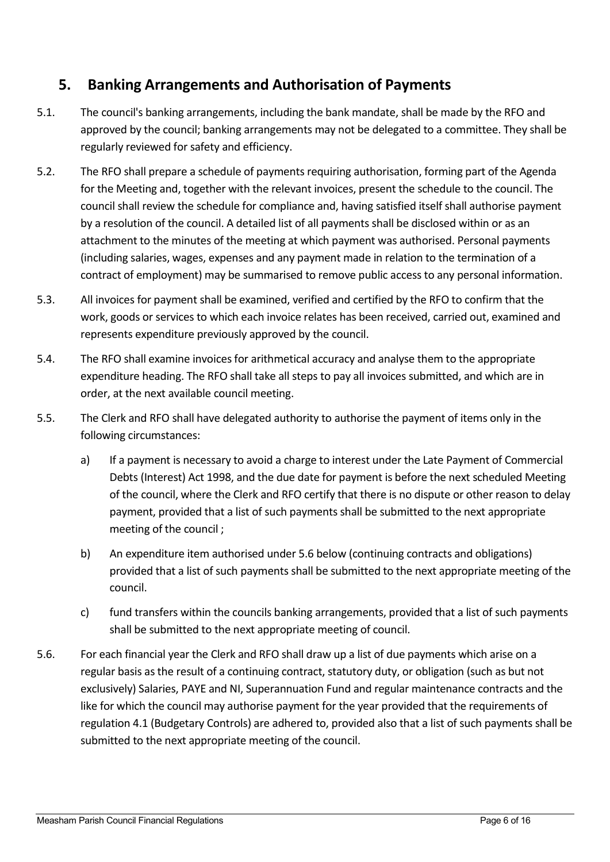# **5. Banking Arrangements and Authorisation of Payments**

- 5.1. The council's banking arrangements, including the bank mandate, shall be made by the RFO and approved by the council; banking arrangements may not be delegated to a committee. They shall be regularly reviewed for safety and efficiency.
- 5.2. The RFO shall prepare a schedule of payments requiring authorisation, forming part of the Agenda for the Meeting and, together with the relevant invoices, present the schedule to the council. The council shall review the schedule for compliance and, having satisfied itself shall authorise payment by a resolution of the council. A detailed list of all payments shall be disclosed within or as an attachment to the minutes of the meeting at which payment was authorised. Personal payments (including salaries, wages, expenses and any payment made in relation to the termination of a contract of employment) may be summarised to remove public access to any personal information.
- 5.3. All invoices for payment shall be examined, verified and certified by the RFO to confirm that the work, goods or services to which each invoice relates has been received, carried out, examined and represents expenditure previously approved by the council.
- 5.4. The RFO shall examine invoices for arithmetical accuracy and analyse them to the appropriate expenditure heading. The RFO shall take all steps to pay all invoices submitted, and which are in order, at the next available council meeting.
- 5.5. The Clerk and RFO shall have delegated authority to authorise the payment of items only in the following circumstances:
	- a) If a payment is necessary to avoid a charge to interest under the Late Payment of Commercial Debts (Interest) Act 1998, and the due date for payment is before the next scheduled Meeting of the council, where the Clerk and RFO certify that there is no dispute or other reason to delay payment, provided that a list of such payments shall be submitted to the next appropriate meeting of the council ;
	- b) An expenditure item authorised under 5.6 below (continuing contracts and obligations) provided that a list of such payments shall be submitted to the next appropriate meeting of the council.
	- c) fund transfers within the councils banking arrangements, provided that a list of such payments shall be submitted to the next appropriate meeting of council.
- 5.6. For each financial year the Clerk and RFO shall draw up a list of due payments which arise on a regular basis as the result of a continuing contract, statutory duty, or obligation (such as but not exclusively) Salaries, PAYE and NI, Superannuation Fund and regular maintenance contracts and the like for which the council may authorise payment for the year provided that the requirements of regulation 4.1 (Budgetary Controls) are adhered to, provided also that a list of such payments shall be submitted to the next appropriate meeting of the council.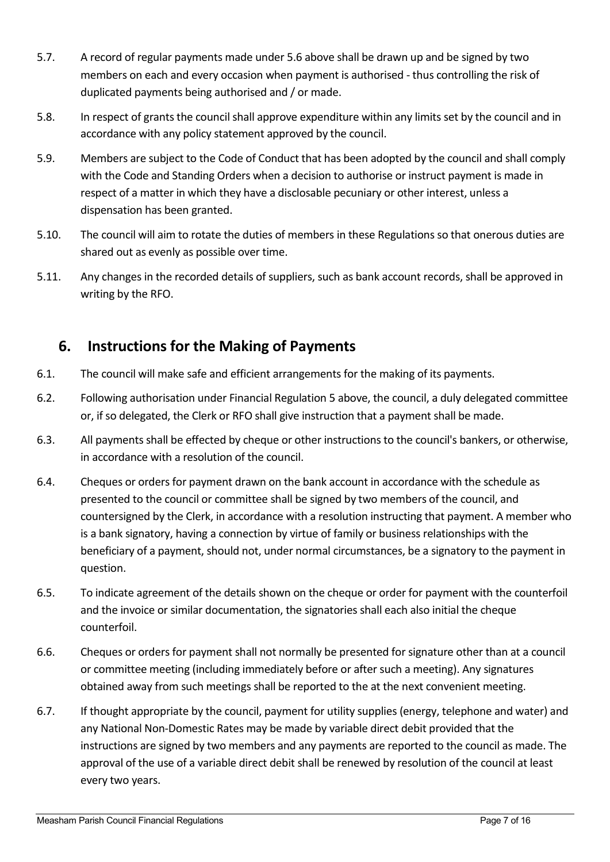- 5.7. A record of regular payments made under 5.6 above shall be drawn up and be signed by two members on each and every occasion when payment is authorised - thus controlling the risk of duplicated payments being authorised and / or made.
- 5.8. In respect of grants the council shall approve expenditure within any limits set by the council and in accordance with any policy statement approved by the council.
- 5.9. Members are subject to the Code of Conduct that has been adopted by the council and shall comply with the Code and Standing Orders when a decision to authorise or instruct payment is made in respect of a matter in which they have a disclosable pecuniary or other interest, unless a dispensation has been granted.
- 5.10. The council will aim to rotate the duties of members in these Regulations so that onerous duties are shared out as evenly as possible over time.
- 5.11. Any changes in the recorded details of suppliers, such as bank account records, shall be approved in writing by the RFO.

# **6. Instructions for the Making of Payments**

- 6.1. The council will make safe and efficient arrangements for the making of its payments.
- 6.2. Following authorisation under Financial Regulation 5 above, the council, a duly delegated committee or, if so delegated, the Clerk or RFO shall give instruction that a payment shall be made.
- 6.3. All payments shall be effected by cheque or other instructions to the council's bankers, or otherwise, in accordance with a resolution of the council.
- 6.4. Cheques or orders for payment drawn on the bank account in accordance with the schedule as presented to the council or committee shall be signed by two members of the council, and countersigned by the Clerk, in accordance with a resolution instructing that payment. A member who is a bank signatory, having a connection by virtue of family or business relationships with the beneficiary of a payment, should not, under normal circumstances, be a signatory to the payment in question.
- 6.5. To indicate agreement of the details shown on the cheque or order for payment with the counterfoil and the invoice or similar documentation, the signatories shall each also initial the cheque counterfoil.
- 6.6. Cheques or orders for payment shall not normally be presented for signature other than at a council or committee meeting (including immediately before or after such a meeting). Any signatures obtained away from such meetings shall be reported to the at the next convenient meeting.
- 6.7. If thought appropriate by the council, payment for utility supplies (energy, telephone and water) and any National Non-Domestic Rates may be made by variable direct debit provided that the instructions are signed by two members and any payments are reported to the council as made. The approval of the use of a variable direct debit shall be renewed by resolution of the council at least every two years.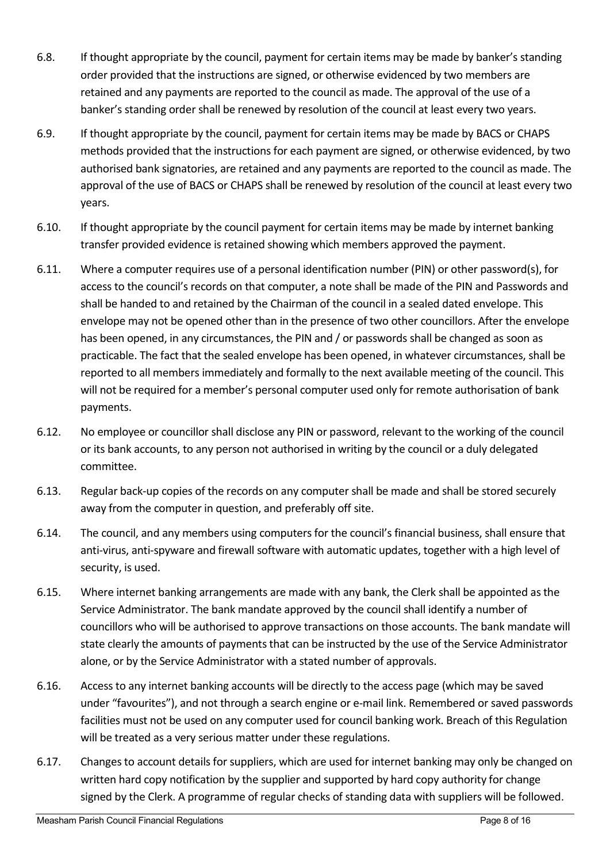- 6.8. If thought appropriate by the council, payment for certain items may be made by banker's standing order provided that the instructions are signed, or otherwise evidenced by two members are retained and any payments are reported to the council as made. The approval of the use of a banker's standing order shall be renewed by resolution of the council at least every two years.
- 6.9. If thought appropriate by the council, payment for certain items may be made by BACS or CHAPS methods provided that the instructions for each payment are signed, or otherwise evidenced, by two authorised bank signatories, are retained and any payments are reported to the council as made. The approval of the use of BACS or CHAPS shall be renewed by resolution of the council at least every two years.
- 6.10. If thought appropriate by the council payment for certain items may be made by internet banking transfer provided evidence is retained showing which members approved the payment.
- 6.11. Where a computer requires use of a personal identification number (PIN) or other password(s), for access to the council's records on that computer, a note shall be made of the PIN and Passwords and shall be handed to and retained by the Chairman of the council in a sealed dated envelope. This envelope may not be opened other than in the presence of two other councillors. After the envelope has been opened, in any circumstances, the PIN and / or passwords shall be changed as soon as practicable. The fact that the sealed envelope has been opened, in whatever circumstances, shall be reported to all members immediately and formally to the next available meeting of the council. This will not be required for a member's personal computer used only for remote authorisation of bank payments.
- 6.12. No employee or councillor shall disclose any PIN or password, relevant to the working of the council or its bank accounts, to any person not authorised in writing by the council or a duly delegated committee.
- 6.13. Regular back-up copies of the records on any computer shall be made and shall be stored securely away from the computer in question, and preferably off site.
- 6.14. The council, and any members using computers for the council's financial business, shall ensure that anti-virus, anti-spyware and firewall software with automatic updates, together with a high level of security, is used.
- 6.15. Where internet banking arrangements are made with any bank, the Clerk shall be appointed as the Service Administrator. The bank mandate approved by the council shall identify a number of councillors who will be authorised to approve transactions on those accounts. The bank mandate will state clearly the amounts of payments that can be instructed by the use of the Service Administrator alone, or by the Service Administrator with a stated number of approvals.
- 6.16. Access to any internet banking accounts will be directly to the access page (which may be saved under "favourites"), and not through a search engine or e-mail link. Remembered or saved passwords facilities must not be used on any computer used for council banking work. Breach of this Regulation will be treated as a very serious matter under these regulations.
- 6.17. Changes to account details for suppliers, which are used for internet banking may only be changed on written hard copy notification by the supplier and supported by hard copy authority for change signed by the Clerk. A programme of regular checks of standing data with suppliers will be followed.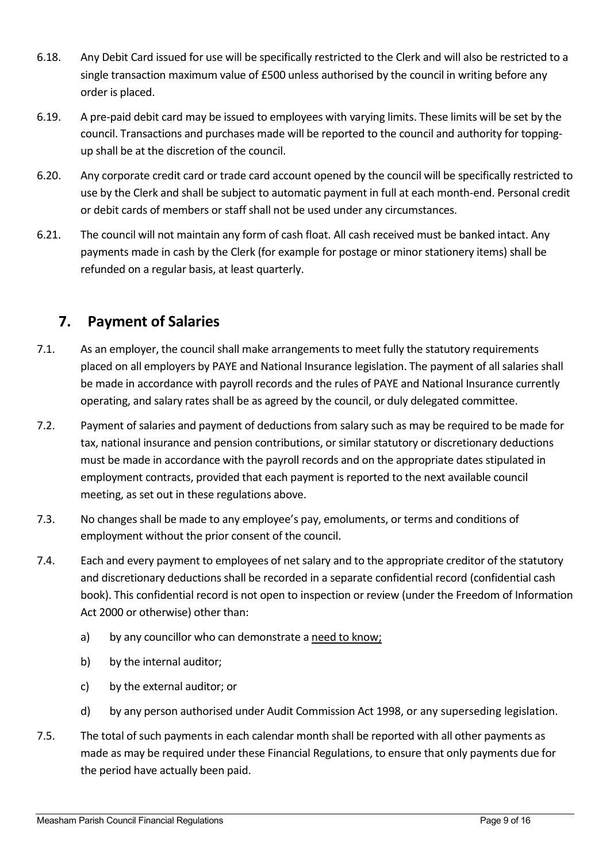- 6.18. Any Debit Card issued for use will be specifically restricted to the Clerk and will also be restricted to a single transaction maximum value of £500 unless authorised by the council in writing before any order is placed.
- 6.19. A pre-paid debit card may be issued to employees with varying limits. These limits will be set by the council. Transactions and purchases made will be reported to the council and authority for toppingup shall be at the discretion of the council.
- 6.20. Any corporate credit card or trade card account opened by the council will be specifically restricted to use by the Clerk and shall be subject to automatic payment in full at each month-end. Personal credit or debit cards of members or staff shall not be used under any circumstances.
- 6.21. The council will not maintain any form of cash float. All cash received must be banked intact. Any payments made in cash by the Clerk (for example for postage or minor stationery items) shall be refunded on a regular basis, at least quarterly.

# **7. Payment of Salaries**

- 7.1. As an employer, the council shall make arrangements to meet fully the statutory requirements placed on all employers by PAYE and National Insurance legislation. The payment of all salaries shall be made in accordance with payroll records and the rules of PAYE and National Insurance currently operating, and salary rates shall be as agreed by the council, or duly delegated committee.
- 7.2. Payment of salaries and payment of deductions from salary such as may be required to be made for tax, national insurance and pension contributions, or similar statutory or discretionary deductions must be made in accordance with the payroll records and on the appropriate dates stipulated in employment contracts, provided that each payment is reported to the next available council meeting, as set out in these regulations above.
- 7.3. No changes shall be made to any employee's pay, emoluments, or terms and conditions of employment without the prior consent of the council.
- 7.4. Each and every payment to employees of net salary and to the appropriate creditor of the statutory and discretionary deductions shall be recorded in a separate confidential record (confidential cash book). This confidential record is not open to inspection or review (under the Freedom of Information Act 2000 or otherwise) other than:
	- a) by any councillor who can demonstrate a need to know;
	- b) by the internal auditor;
	- c) by the external auditor; or
	- d) by any person authorised under Audit Commission Act 1998, or any superseding legislation.
- 7.5. The total of such payments in each calendar month shall be reported with all other payments as made as may be required under these Financial Regulations, to ensure that only payments due for the period have actually been paid.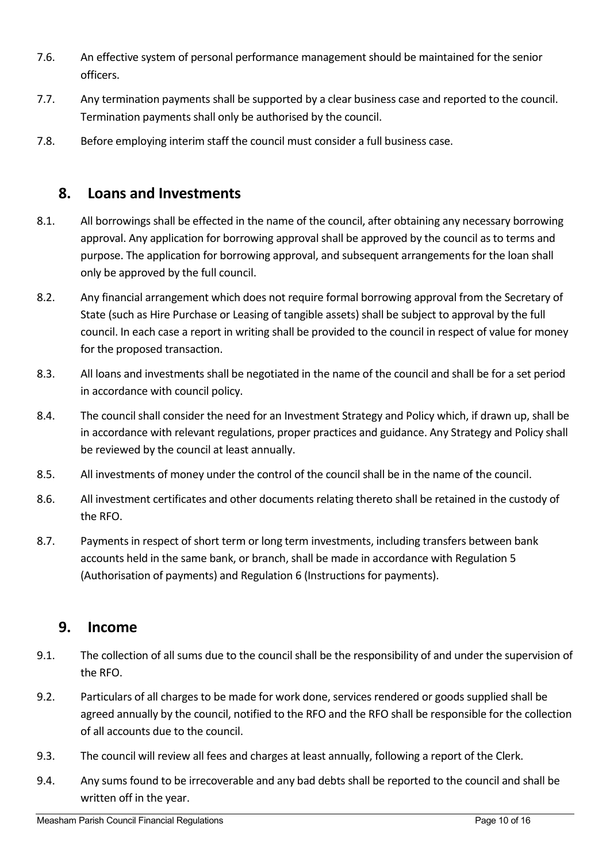- 7.6. An effective system of personal performance management should be maintained for the senior officers.
- 7.7. Any termination payments shall be supported by a clear business case and reported to the council. Termination payments shall only be authorised by the council.
- 7.8. Before employing interim staff the council must consider a full business case.

# **8. Loans and Investments**

- 8.1. All borrowings shall be effected in the name of the council, after obtaining any necessary borrowing approval. Any application for borrowing approval shall be approved by the council as to terms and purpose. The application for borrowing approval, and subsequent arrangements for the loan shall only be approved by the full council.
- 8.2. Any financial arrangement which does not require formal borrowing approval from the Secretary of State (such as Hire Purchase or Leasing of tangible assets) shall be subject to approval by the full council. In each case a report in writing shall be provided to the council in respect of value for money for the proposed transaction.
- 8.3. All loans and investments shall be negotiated in the name of the council and shall be for a set period in accordance with council policy.
- 8.4. The council shall consider the need for an Investment Strategy and Policy which, if drawn up, shall be in accordance with relevant regulations, proper practices and guidance. Any Strategy and Policy shall be reviewed by the council at least annually.
- 8.5. All investments of money under the control of the council shall be in the name of the council.
- 8.6. All investment certificates and other documents relating thereto shall be retained in the custody of the RFO.
- 8.7. Payments in respect of short term or long term investments, including transfers between bank accounts held in the same bank, or branch, shall be made in accordance with Regulation 5 (Authorisation of payments) and Regulation 6 (Instructions for payments).

#### **9. Income**

- 9.1. The collection of all sums due to the council shall be the responsibility of and under the supervision of the RFO.
- 9.2. Particulars of all charges to be made for work done, services rendered or goods supplied shall be agreed annually by the council, notified to the RFO and the RFO shall be responsible for the collection of all accounts due to the council.
- 9.3. The council will review all fees and charges at least annually, following a report of the Clerk.
- 9.4. Any sums found to be irrecoverable and any bad debts shall be reported to the council and shall be written off in the year.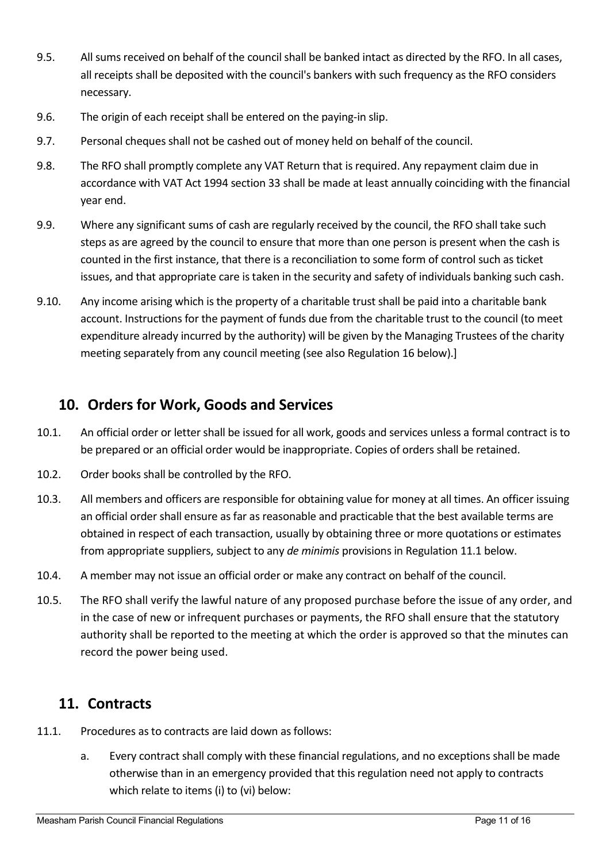- 9.5. All sums received on behalf of the council shall be banked intact as directed by the RFO. In all cases, all receipts shall be deposited with the council's bankers with such frequency as the RFO considers necessary.
- 9.6. The origin of each receipt shall be entered on the paying-in slip.
- 9.7. Personal cheques shall not be cashed out of money held on behalf of the council.
- 9.8. The RFO shall promptly complete any VAT Return that is required. Any repayment claim due in accordance with VAT Act 1994 section 33 shall be made at least annually coinciding with the financial year end.
- 9.9. Where any significant sums of cash are regularly received by the council, the RFO shall take such steps as are agreed by the council to ensure that more than one person is present when the cash is counted in the first instance, that there is a reconciliation to some form of control such as ticket issues, and that appropriate care is taken in the security and safety of individuals banking such cash.
- 9.10. Any income arising which is the property of a charitable trust shall be paid into a charitable bank account. Instructions for the payment of funds due from the charitable trust to the council (to meet expenditure already incurred by the authority) will be given by the Managing Trustees of the charity meeting separately from any council meeting (see also Regulation 16 below).]

### **10. Orders for Work, Goods and Services**

- 10.1. An official order or letter shall be issued for all work, goods and services unless a formal contract is to be prepared or an official order would be inappropriate. Copies of orders shall be retained.
- 10.2. Order books shall be controlled by the RFO.
- 10.3. All members and officers are responsible for obtaining value for money at all times. An officer issuing an official order shall ensure as far as reasonable and practicable that the best available terms are obtained in respect of each transaction, usually by obtaining three or more quotations or estimates from appropriate suppliers, subject to any *de minimis* provisions in Regulation 11.1 below.
- 10.4. A member may not issue an official order or make any contract on behalf of the council.
- 10.5. The RFO shall verify the lawful nature of any proposed purchase before the issue of any order, and in the case of new or infrequent purchases or payments, the RFO shall ensure that the statutory authority shall be reported to the meeting at which the order is approved so that the minutes can record the power being used.

#### **11. Contracts**

- 11.1. Procedures as to contracts are laid down as follows:
	- a. Every contract shall comply with these financial regulations, and no exceptions shall be made otherwise than in an emergency provided that this regulation need not apply to contracts which relate to items (i) to (vi) below: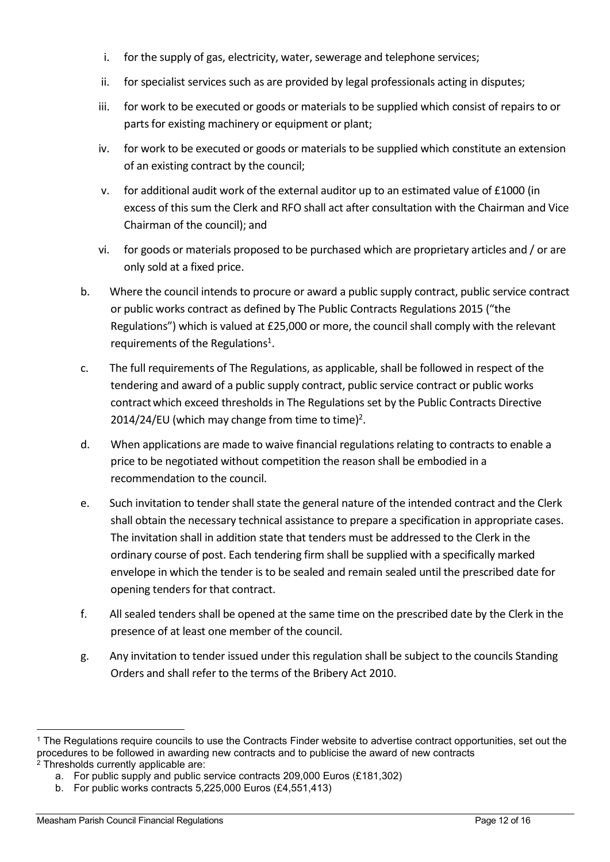- i. for the supply of gas, electricity, water, sewerage and telephone services;
- ii. for specialist services such as are provided by legal professionals acting in disputes;
- iii. for work to be executed or goods or materials to be supplied which consist of repairs to or parts for existing machinery or equipment or plant;
- iv. for work to be executed or goods or materials to be supplied which constitute an extension of an existing contract by the council;
- v. for additional audit work of the external auditor up to an estimated value of £1000 (in excess of this sum the Clerk and RFO shall act after consultation with the Chairman and Vice Chairman of the council); and
- vi. for goods or materials proposed to be purchased which are proprietary articles and / or are only sold at a fixed price.
- b. Where the council intends to procure or award a public supply contract, public service contract or public works contract as defined by The Public Contracts Regulations 2015 ("the Regulations") which is valued at £25,000 or more, the council shall comply with the relevant requirements of the Regulations<sup>1</sup>.
- c. The full requirements of The Regulations, as applicable, shall be followed in respect of the tendering and award of a public supply contract, public service contract or public works contractwhich exceed thresholds in The Regulations set by the Public Contracts Directive 2014/24/EU (which may change from time to time)<sup>2</sup>.
- d. When applications are made to waive financial regulations relating to contracts to enable a price to be negotiated without competition the reason shall be embodied in a recommendation to the council.
- e. Such invitation to tender shall state the general nature of the intended contract and the Clerk shall obtain the necessary technical assistance to prepare a specification in appropriate cases. The invitation shall in addition state that tenders must be addressed to the Clerk in the ordinary course of post. Each tendering firm shall be supplied with a specifically marked envelope in which the tender is to be sealed and remain sealed until the prescribed date for opening tenders for that contract.
- f. All sealed tenders shall be opened at the same time on the prescribed date by the Clerk in the presence of at least one member of the council.
- g. Any invitation to tender issued under this regulation shall be subject to the councils Standing Orders and shall refer to the terms of the Bribery Act 2010.

<sup>1</sup> The Regulations require councils to use the Contracts Finder website to advertise contract opportunities, set out the procedures to be followed in awarding new contracts and to publicise the award of new contracts 2 Thresholds currently applicable are:

a. For public supply and public service contracts 209,000 Euros (£181,302)

b. For public works contracts 5,225,000 Euros (£4,551,413)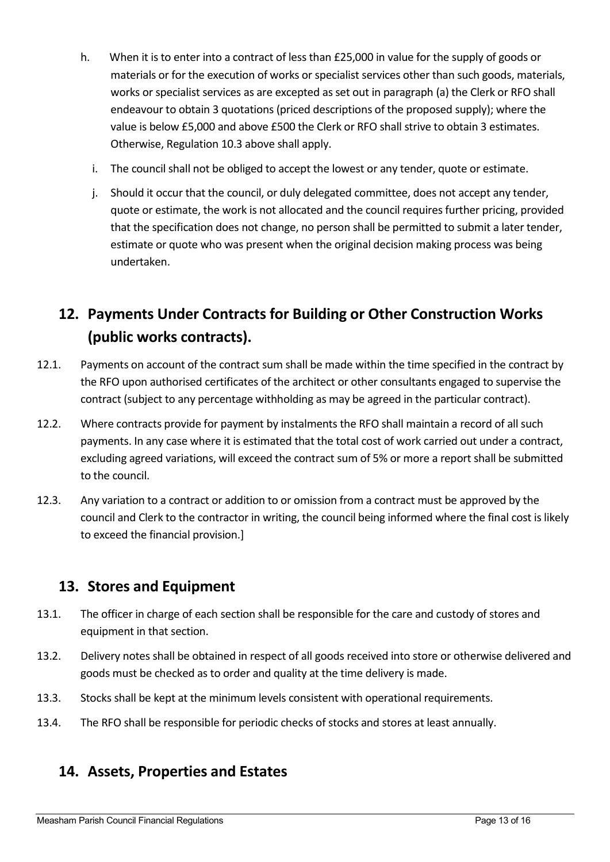- h. When it is to enter into a contract of less than £25,000 in value for the supply of goods or materials or for the execution of works or specialist services other than such goods, materials, works or specialist services as are excepted as set out in paragraph (a) the Clerk or RFO shall endeavour to obtain 3 quotations (priced descriptions of the proposed supply); where the value is below £5,000 and above £500 the Clerk or RFO shall strive to obtain 3 estimates. Otherwise, Regulation 10.3 above shall apply.
	- i. The council shall not be obliged to accept the lowest or any tender, quote or estimate.
	- j. Should it occur that the council, or duly delegated committee, does not accept any tender, quote or estimate, the work is not allocated and the council requires further pricing, provided that the specification does not change, no person shall be permitted to submit a later tender, estimate or quote who was present when the original decision making process was being undertaken.

# **12. Payments Under Contracts for Building or Other Construction Works (public works contracts).**

- 12.1. Payments on account of the contract sum shall be made within the time specified in the contract by the RFO upon authorised certificates of the architect or other consultants engaged to supervise the contract (subject to any percentage withholding as may be agreed in the particular contract).
- 12.2. Where contracts provide for payment by instalments the RFO shall maintain a record of all such payments. In any case where it is estimated that the total cost of work carried out under a contract, excluding agreed variations, will exceed the contract sum of 5% or more a report shall be submitted to the council.
- 12.3. Any variation to a contract or addition to or omission from a contract must be approved by the council and Clerk to the contractor in writing, the council being informed where the final cost is likely to exceed the financial provision.]

# **13. Stores and Equipment**

- 13.1. The officer in charge of each section shall be responsible for the care and custody of stores and equipment in that section.
- 13.2. Delivery notes shall be obtained in respect of all goods received into store or otherwise delivered and goods must be checked as to order and quality at the time delivery is made.
- 13.3. Stocks shall be kept at the minimum levels consistent with operational requirements.
- 13.4. The RFO shall be responsible for periodic checks of stocks and stores at least annually.

# **14. Assets, Properties and Estates**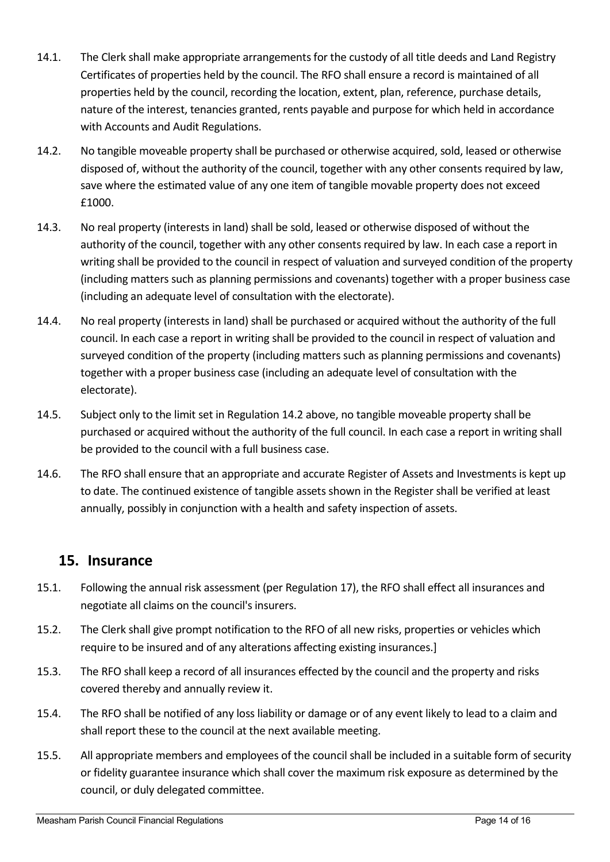- 14.1. The Clerk shall make appropriate arrangements for the custody of all title deeds and Land Registry Certificates of properties held by the council. The RFO shall ensure a record is maintained of all properties held by the council, recording the location, extent, plan, reference, purchase details, nature of the interest, tenancies granted, rents payable and purpose for which held in accordance with Accounts and Audit Regulations.
- 14.2. No tangible moveable property shall be purchased or otherwise acquired, sold, leased or otherwise disposed of, without the authority of the council, together with any other consents required by law, save where the estimated value of any one item of tangible movable property does not exceed £1000.
- 14.3. No real property (interests in land) shall be sold, leased or otherwise disposed of without the authority of the council, together with any other consents required by law. In each case a report in writing shall be provided to the council in respect of valuation and surveyed condition of the property (including matters such as planning permissions and covenants) together with a proper business case (including an adequate level of consultation with the electorate).
- 14.4. No real property (interests in land) shall be purchased or acquired without the authority of the full council. In each case a report in writing shall be provided to the council in respect of valuation and surveyed condition of the property (including matters such as planning permissions and covenants) together with a proper business case (including an adequate level of consultation with the electorate).
- 14.5. Subject only to the limit set in Regulation 14.2 above, no tangible moveable property shall be purchased or acquired without the authority of the full council. In each case a report in writing shall be provided to the council with a full business case.
- 14.6. The RFO shall ensure that an appropriate and accurate Register of Assets and Investments is kept up to date. The continued existence of tangible assets shown in the Register shall be verified at least annually, possibly in conjunction with a health and safety inspection of assets.

# **15. Insurance**

- 15.1. Following the annual risk assessment (per Regulation 17), the RFO shall effect all insurances and negotiate all claims on the council's insurers.
- 15.2. The Clerk shall give prompt notification to the RFO of all new risks, properties or vehicles which require to be insured and of any alterations affecting existing insurances.]
- 15.3. The RFO shall keep a record of all insurances effected by the council and the property and risks covered thereby and annually review it.
- 15.4. The RFO shall be notified of any loss liability or damage or of any event likely to lead to a claim and shall report these to the council at the next available meeting.
- 15.5. All appropriate members and employees of the council shall be included in a suitable form of security or fidelity guarantee insurance which shall cover the maximum risk exposure as determined by the council, or duly delegated committee.